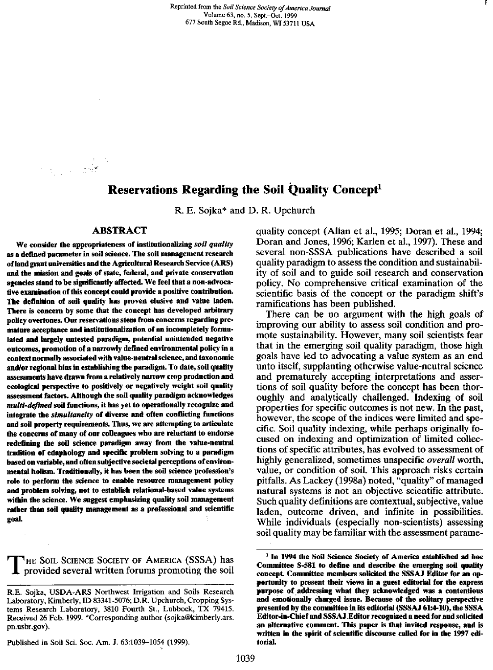# **Reservations Regarding the Soil Quality Concept'**

R. E. Sojka\* and D. R. Upchurch

#### **ABSTRACT**

a na ak

We consider the appropriateness of institutionalizing *soil quality as* a defined parameter in soil science. The soil management research of land grant universities and the Agricultural Research Service (ARS) and the mission and goals of state, federal, *and* private conservation agencies stand to be **significantly** affected. We *feel that a* non-advocalive examination of this concept could provide a positive contribution. The definition of soil quality has proven elusive and value laden. There *is* concern by some that the concept has developed arbitrary policy overtones. Our reservations stem from concerns regarding premature acceptance and institutionalization of an incompletely formulated and largely untested paradigm, potential unintended negative outcomes, promotion of a narrowly defined environmental policy in a context normally associated with value-neutral science, and taxonomic and/or regional bias in establishing the paradigm. To date, soil quality assessments have drawn from a relatively narrow crop production and ecological perspective to positively or negatively weight soil quality assessment factors. Although the soil quality paradigm acknowledges *multi-defined* soil functions, it has yet to operationally recognize and integrate the *simultaneity* of diverse and often conflicting functions and soil property requirements. Thus, we are attempting to articulate the concerns of many of our colleagues who are reluctant to endorse redefining the soil science paradigm away from the value-neutral tradition of edaphology and specific problem solving to a paradigm based on variable, and often subjective societal perceptions of environmental holism. Traditionally, it has been the soil science profession's role to perform the science to enable resource management policy and problem solving, not to establish relational-based value systems within the science. We suggest emphasizing quality soil management rather than soil quality management as a professional and scientific goal.

THE SOIL SCIENCE SOCIETY OF AMERICA (SSSA) has provided several written forums promoting the soil HE SOIL SCIENCE SOCIETY OF AMERICA (SSSA) has

Published in Soil Sci. Soc. *Am. J.* 63:1039-1054 (1999).

quality concept (Allan et al., 1995; Doran et al., 1994; Doran and Jones, 1996; Karlen et al., 1997). These and several non-SSSA publications have described a soil quality paradigm to assess the condition and sustainability of soil and to guide soil research and conservation policy. No comprehensive critical examination of the scientific basis of the concept or the paradigm shift's ramifications has been published.

There can be no argument with the high goals of improving our ability to assess soil condition and promote sustainability. However, many soil scientists fear that in the emerging soil quality paradigm, those high goals have led to advocating a value system as an end unto itself, supplanting otherwise value-neutral science and prematurely accepting interpretations and assertions of soil quality before the concept has been thoroughly and analytically challenged. Indexing of soil properties for specific outcomes is not new. In the past, however, the scope of the indices were limited and specific. Soil quality indexing, while perhaps originally focused on indexing and optimization of limited collections of specific attributes, has evolved to assessment of highly generalized, sometimes unspecific *overall* worth, value, or condition of soil. This approach risks certain pitfalls. As Lackey (1998a) noted, "quality" of managed natural systems is not an objective scientific attribute. Such quality definitions are contextual, subjective, value laden, outcome driven, and infinite in possibilities. While individuals (especially non-scientists) assessing soil quality may be familiar with the assessment parame-

R.E. Sojka, USDA-ARS Northwest Irrigation and Soils Research Laboratory, Kimberly, ID 83341-5076; D.R. Upchurch, Cropping Systems Research Laboratory, 3810 Fourth St., Lubbock, TX 79415. Received 26 Feb. 1999. \*Corresponding author (sojka®kimberly.ars. pn.usbr.gov).

**In 1994 the Soil Science Society of America established ad hoc** Committee S-581 to define and describe the emerging soil quality **concept. Committee members solicited the SSSAJ Editor for an op**portunity to present their views in **a** guest editorial for the express purpose of addressing what they acknowledged was **a** contentious and emotionally **charged** issue. Because of the solitary perspective presented by the **conunittee** in its editorial (SSSA) 61:4-10), the SSSA **Editor-in-Chief and SSSAJ Editor recognized a need for and solicited an alternative comment. This paper is that invited response, and is written in the spirit of scientific discourse called for in the 1997 edi**torial.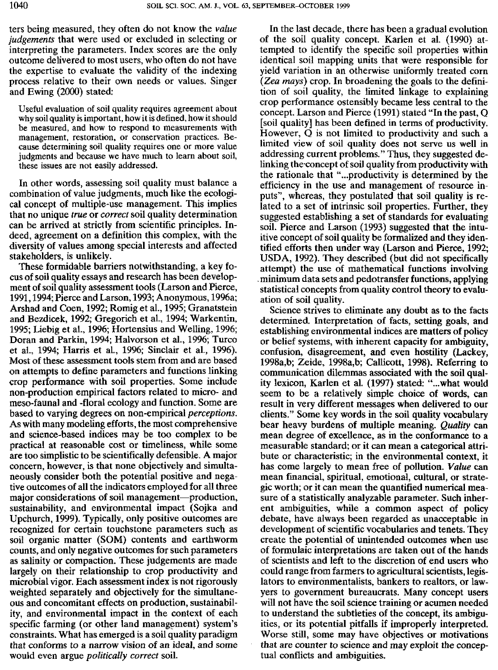ters being measured, they often do not know the *value judgements* that were used or excluded in selecting or interpreting the parameters. Index scores are the only outcome delivered to most users, who often do not have the expertise to evaluate the validity of the indexing process relative to their own needs or values. Singer and Ewing (2000) stated:

Useful evaluation of soil quality requires agreement about why soil quality is important, how it is defined, how it should be measured, and how to respond to measurements with management, restoration, or conservation practices. Because determining soil quality requires one or more value judgments and because we have much to learn about soil, **these issues are not easily addressed.**

In other words, assessing soil quality must balance a combination of value judgments, much like the ecological concept of multiple-use management. This implies that no unique *true* or *correct* soil quality determination can be arrived at strictly from scientific principles. Indeed, agreement on a definition this complex, with the diversity of values among special interests and affected stakeholders, is unlikely.

These formidable barriers notwithstanding, a key focus of soil quality essays and research has been development of soil quality assessment tools (Larson and Pierce, 1991, 1994; Pierce and Larson, 1993; Anonymous, 1996a; Arshad and Coen, 1992; Romig et al., 1995; Granatstein and Bezdicek, 1992; Gregorich et al., 1994; Warkentin, 1995; Liebig et al., 1996; Hortensius and Welling, 1996; Doran and Parkin, 1994; Halvorson et al., 1996; Turco et al., 1994; Harris et al., 1996; Sinclair et al., 1996). Most of these assessment tools stem from and are based on attempts to define parameters and functions linking crop performance with soil properties. Some include non-production empirical factors related to micro- and meso-faunal and -floral ecology and function. Some are based to varying degrees on non-empirical *perceptions.* As with many modeling efforts, the most comprehensive and science-based indices may be too complex to be practical at reasonable cost or timeliness, while some are too simplistic to be scientifically defensible. A major concern, however, is that none objectively and simultaneously consider both the potential positive and negative outcomes of all the indicators employed for all three major considerations of soil management—production, sustainability, and environmental impact (Sojka and Upchurch, 1999). Typically, only positive outcomes are recognized for certain touchstone parameters such as soil organic matter (SOM) contents and earthworm counts, and only negative outcomes for such parameters as salinity or compaction. These judgements are made largely on their relationship to crop productivity and microbial vigor. Each assessment index is not rigorously weighted separately and objectively for the simultaneous and concomitant effects on production, sustainability, and environmental impact in the context of each specific farming (or other land management) system's constraints. What has emerged is a soil quality paradigm that conforms to a narrow vision of an ideal, and some would even argue *politically correct* soil.

In the last decade, there has been a gradual evolution of the soil quality concept. Karlen et al. (1990) attempted to identify the specific soil properties within identical soil mapping units that were responsible for yield variation in an otherwise uniformly treated corn *(Zea mays)* crop. In broadening the goals to the definition of soil quality, the limited linkage to explaining crop performance ostensibly became less central to the concept. Larson and Pierce (1991) stated "In the past, Q [soil quality] has been defined in terms of productivity. However, Q is not limited to productivity and such a limited view of soil quality does not serve us well in addressing current problems." Thus, they suggested delinking the concept of soil quality from productivity with the rationale that "...productivity is determined by the efficiency in the use and management of resource inputs", whereas, they postulated that soil quality is related to a set of intrinsic soil properties. Further, they suggested establishing a set of standards for evaluating soil. Pierce and Larson (1993) suggested that the intuitive concept of soil quality be formalized and they identified efforts then under way (Larson and Pierce, 1992; USDA, 1992). They described (but did not specifically attempt) the use of mathematical functions involving .minimum data sets and pedotransfer functions, applying statistical concepts from quality control theory to evaluation of soil quality.

Science strives to eliminate any doubt as to the facts determined. Interpretation of facts, setting goals, and establishing environmental indices are matters of policy or belief systems, with inherent capacity for ambiguity, confusion, disagreement, and even hostility (Lackey, 1998a,b; Zeide, 1998a,b; Callicott, 1998). Referring to communication dilemmas associated with the soil quality lexicon, Karlen et al. (1997) stated: "...what would seem to be a relatively simple choice of words, can result in very different messages when delivered to our clients." Some key words in the soil quality vocabulary bear heavy burdens of multiple meaning. *Quality can mean* degree of excellence, as in the conformance to a measurable standard; or it can mean a categorical attribute or characteristic; in the environmental context, it has come largely to mean free of pollution. *Value can* mean financial, spiritual, emotional, cultural, or strategic worth; or it can mean the quantified numerical measure of a statistically analyzable parameter. Such inherent ambiguities, while a common aspect of policy debate, have always been regarded as unacceptable in development of scientific vocabularies and tenets. They create the potential of unintended outcomes when use of formulaic interpretations are taken out of the hands of scientists and left to the discretion of end users who could range from farmers to agricultural scientists, legislators to environmentalists, bankers to realtors, or lawyers to government bureaucrats. Many concept users will not have the soil science training or acumen needed to understand the subtleties of the concept, its ambiguities, or its potential pitfalls if improperly interpreted. Worse still, some may have objectives or motivations that are counter to science and may exploit the conceptual conflicts and ambiguities.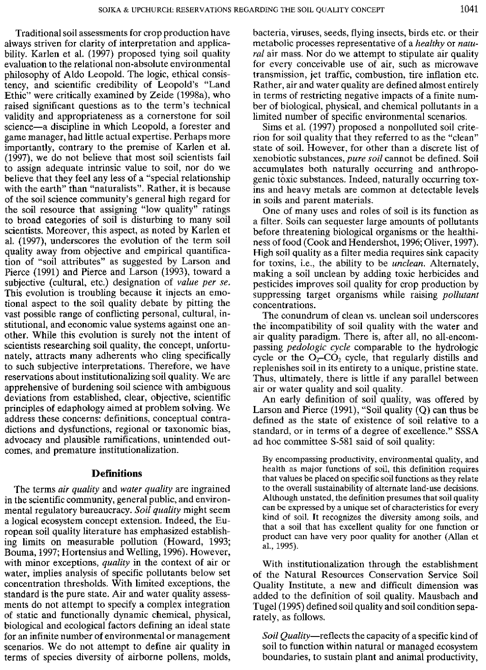Traditional soil assessments for crop production have always striven for clarity of interpretation and applicability. Karlen et al. (1997) proposed tying soil quality evaluation to the relational non-absolute environmental philosophy of Aldo Leopold. The logic, ethical consistency, and scientific credibility of Leopold's "Land Ethic" were critically examined by Zeide (1998a), who raised significant questions as to the term's technical validity and appropriateness as a cornerstone for soil science—a discipline in which Leopold, a forester and game manager, had little actual expertise. Perhaps more importantly, contrary to the premise of Karlen et al. (1997), we do not believe that most soil scientists fail to assign adequate intrinsic value to soil, nor do we believe that they feel any less of a "special relationship with the earth" than "naturalists". Rather, it is because of the soil science community's general high regard for the soil resource that assigning "low quality" ratings to broad categories of soil is disturbing to many soil scientists. Moreover, this aspect, as noted by Karlen et al. (1997), underscores the evolution of the term soil quality away from objective and empirical quantification of "soil attributes" as suggested by Larson and Pierce (1991) and Pierce and Larson (1993), toward a subjective (cultural, etc.) designation of *value per se.* This evolution is troubling because it injects an emotional aspect to the soil quality debate by pitting the vast possible range of conflicting personal, cultural, institutional, and economic value systems against one another. While this evolution is surely not the intent of scientists researching soil quality, the concept, unfortunately, attracts many adherents who cling specifically to such subjective interpretations. Therefore, we have reservations about institutionalizing soil quality. We are apprehensive of burdening soil science with ambiguous deviations from established, clear, objective, scientific principles of edaphology aimed at problem solving. We address these concerns: definitions, conceptual contradictions and dysfunctions, regional or taxonomic bias, advocacy and plausible ramifications, unintended outcomes, and premature institutionalization.

## **Definitions**

The terms *air quality* and *water quality* are ingrained in the scientific community, general public, and environmental regulatory bureaucracy. *Soil quality* might seem a logical ecosystem concept extension. Indeed, the European soil quality literature has emphasized establishing limits on measurable pollution (Howard, 1993; Bouma, 1997; Hortensius and Welling, 1996). However, with minor exceptions, *quality* in the context of air or water, implies analysis of specific pollutants below set concentration thresholds. With limited exceptions, the standard is the pure state. Air and water quality assessments do not attempt to specify a complex integration of static and functionally dynamic chemical, physical, biological and ecological factors defining an ideal state for an infinite number of environmental or management scenarios. We do not attempt to define air quality in terms of species diversity of airborne pollens, molds, bacteria, viruses, seeds, flying insects, birds etc. or their metabolic processes representative of a *healthy* or *natural* air mass. Nor do we attempt to stipulate air quality for every conceivable use of air, such as microwave transmission, jet traffic, combustion, tire inflation etc. Rather, air and water quality are defined almost entirely in terms of restricting negative impacts of a finite number of biological, physical, and chemical pollutants in a limited number of specific environmental scenarios.

Sims et al. (1997) proposed a nonpolluted soil criterion for soil quality that they referred to as the "clean" state of soil. However, for other than a discrete list of xenobiotic substances, *pure soil* cannot be defined. Soil accumulates both naturally occurring and anthropogenic toxic substances. Indeed, naturally occurring toxins and heavy metals are common at detectable levels in soils and parent materials.

One of many uses and roles of soil is its function as a filter. Soils can sequester large amounts of pollutants before threatening biological organisms or the healthiness of food (Cook and Hendershot, 1996; Oliver, 1997). High soil quality as a filter media requires sink capacity for toxins, i.e., the ability to be *unclean.* Alternately, making a soil unclean by adding toxic herbicides and pesticides improves soil quality for crop production by suppressing target organisms while raising *pollutant* concentrations.

The conundrum of clean vs. unclean soil underscores the incompatibility of soil quality with the water and air quality paradigm. There is, after all, no all-encompassing *pedologic cycle* comparable to the hydrologic cycle or the  $O_2$ –CO<sub>2</sub> cycle, that regularly distills and replenishes soil in its entirety to a unique, pristine state. Thus, ultimately, there is little if any parallel between air or water quality and soil quality.

An early definition of soil quality, was offered by Larson and Pierce (1991), "Soil quality (Q) can thus be defined as the state of existence of soil relative to a standard, or in terms of a degree of excellence." SSSA ad hoc committee S-581 said of soil quality:

By encompassing productivity, environmental quality, and health as major functions of soil, this definition requires that values be placed on specific soil functions as they relate to the overall sustainability of alternate land-use decisions. Although unstated, the definition presumes that soil quality can be expressed by a unique set of characteristics for every kind of soil. It recognizes the diversity among soils, and that a soil that has excellent quality for one function or product can have very poor quality for another (Allan et al., 1995).

With institutionalization through the establishment of the Natural Resources Conservation Service Soil Quality Institute, a new and difficult dimension was added to the definition of soil quality. Mausbach and Tugel (1995) defined soil quality and soil condition separately, as follows.

*Soil Quality*—reflects the capacity of a specific kind of soil to function within natural or managed ecosystem boundaries, to sustain plant and animal productivity,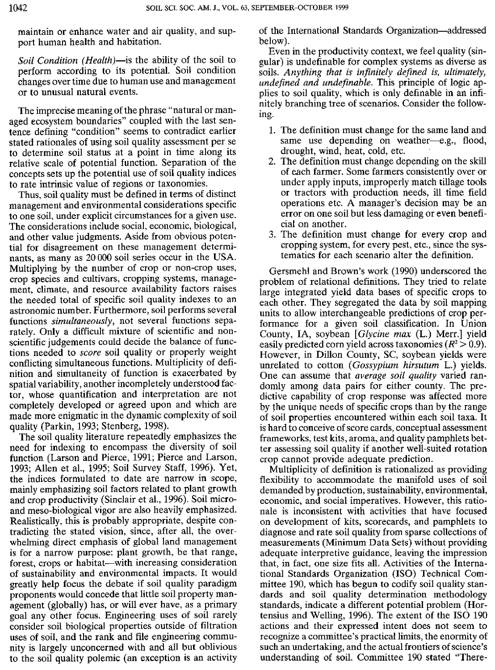maintain or enhance water and air quality, and support human health and habitation.

*Soil Condition (Health)—is* the ability of the soil to perform according to its potential. Soil condition changes over time due to human use and management or to unusual natural events.

The imprecise meaning of the phrase "natural or managed ecosystem boundaries" coupled with the last sentence defining "condition" seems to contradict earlier stated rationales of using soil quality assessment per se to determine soil status at a point in time along its relative scale of potential function. Separation of the concepts sets up the potential use of soil quality indices to rate intrinsic value of regions or taxonomies.

Thus, soil quality must be defined in terms of distinct management and environmental considerations specific to one soil, under explicit circumstances for a given use. The considerations include social, economic, biological, and other value judgments. Aside from obvious potential for disagreement on these management determinants, as many as 20 000 soil series occur in the USA. Multiplying by the number of crop or non-crop uses, crop species and cultivars, cropping systems, management, climate, and resource availability factors raises the needed total of specific soil quality indexes to an astronomic number. Furthermore, soil performs several functions *simultaneously,* not several functions separately. Only a difficult mixture of scientific and nonscientific judgements could decide the balance of functions needed to *score* soil quality or properly weight conflicting simultaneous functions. Multiplicity of definition and simultaneity of function is exacerbated by spatial variability, another incompletely understood factor, whose quantification and interpretation are not completely developed or agreed upon and which are made more enigmatic in the dynamic complexity of soil quality (Parkin, 1993; Stenberg, 1998).

The soil quality literature repeatedly emphasizes the need for indexing to encompass the diversity of soil function (Larson and Pierce, 1991; Pierce and Larson, 1993; Allen et al., 1995; Soil Survey Staff, 1996). Yet, the indices formulated to date are narrow in scope, mainly emphasizing soil factors related to plant growth and crop productivity (Sinclair et al., 1996). Soil microand meso-biological vigor are also heavily emphasized. Realistically, this is probably appropriate, despite contradicting the stated vision, since, after all, the overwhelming direct emphasis of global land management is for a narrow purpose: plant growth, be that range, forest, crops or habitat—with increasing consideration of sustainability and environmental impacts. It would greatly help focus the debate if soil quality paradigm proponents would concede that little soil property management (globally) has, or will ever have, as a primary goal any other focus. Engineering uses of soil rarely consider soil biological properties outside of filtration uses of soil, and the rank and file engineering community is largely unconcerned with and all but oblivious to the soil quality polemic (an exception is an activity

of the International Standards Organization—addressed below).

Even in the productivity context, we feel quality (singular) is undefinable for complex systems as diverse as soils. *Anything that is infinitely defined is, ultimately, undefined and undefinable.* This principle of logic applies to soil quality, which is only definable in an infinitely branching tree of scenarios. Consider the following.

- 1. The definition must change for the same land and same use depending on weather—e.g., flood, drought, wind, heat, cold, etc.
- 2. The definition must change depending on the skill of each farmer. Some farmers consistently over or under apply inputs, improperly match tillage tools or tractors with production needs, ill time field operations etc. A manager's decision may be an error on one soil but less damaging or even beneficial on another.
- 3. The definition must change for every crop and cropping system, for every pest, etc., since the systematics for each scenario alter the definition.

Gersmehl and Brown's work (1990) underscored the problem of relational definitions. They tried to relate large integrated yield data bases of specific crops to each other. They segregated the data by soil mapping units to allow interchangeable predictions of crop performance for a given soil classification. In Union County, IA, soybean *[Glycine max* (L.) Merr.] yield easily predicted corn yield across taxonomies *(R2 >* 0.9). However, in Dillon County, SC, soybean yields were unrelated to cotton *(Gossypium hirsutum* L.) yields. One can assume that *average soil quality* varied randomly among data pairs for either county. The predictive capability of crop response was affected more by the unique needs of specific crops than by the range of soil properties encountered within each soil taxa. It is hard to conceive of score cards, conceptual assessment frameworks, test kits, aroma, and quality pamphlets better assessing soil quality if another well-suited rotation crop cannot provide adequate prediction.

Multiplicity of definition is rationalized as providing flexibility to accommodate the manifold uses of soil demanded by production, sustainability, environmental, economic, and social imperatives. However, this rationale is inconsistent with activities that have focused on development of kits, scorecards, and pamphlets to diagnose and rate soil quality from sparse collections of measurements (Minimum Data Sets) without providing adequate interpretive guidance, leaving the impression that, in fact, one size fits all. Activities of the International Standards Organization (ISO) Technical Committee 190, which has begun to codify soil quality standards and soil quality determination methodology standards, indicate a different potential problem (Hortensius and Welling, 1996). The extent of the ISO 190 actions and their expressed intent does not seem to recognize a committee's practical limits, the enormity of such an undertaking, and the actual frontiers of science's understanding of soil. Committee 190 stated "There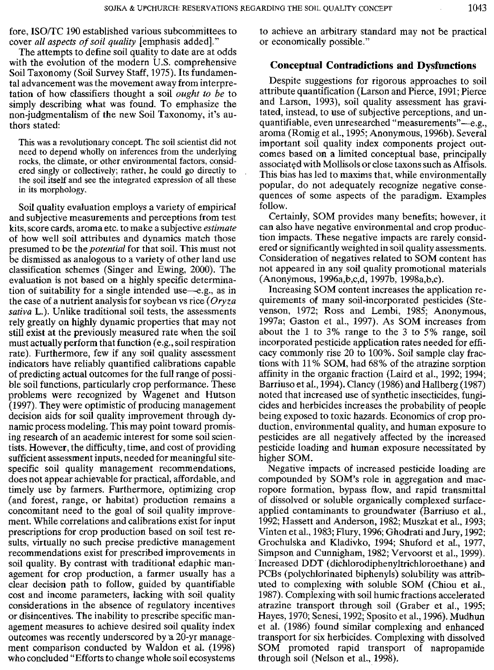fore, ISO/TC 190 established various subcommittees to cover *all aspects of soil quality* [emphasis added]."

The attempts to define soil quality to date are at odds with the evolution of the modern U.S. comprehensive Soil Taxonomy (Soil Survey Staff, 1975). Its fundamental advancement was the movement away from interpretation of how classifiers thought a soil *ought to be* to simply describing what was found. To emphasize the non-judgmentalism of the new Soil Taxonomy, it's authors stated:

This was a revolutionary concept. The soil scientist did not need to depend wholly on inferences from the underlying rocks, the climate, or other environmental factors, considered singly or collectively; rather, he could go directly to the soil itself and see the integrated expression of all these in its morphology.

Soil quality evaluation employs a variety of empirical and subjective measurements and perceptions from test kits, score cards, aroma etc. to make a subjective *estimate* of how well soil attributes and dynamics match those presumed to be the *potential* for that soil. This must not be dismissed as analogous to a variety of other land use classification schemes (Singer and Ewing, 2000). The evaluation is not based on a highly specific determination of suitability for a single intended use--e.g., as in the case of a nutrient analysis for soybean vs rice *(Oryza sativa* L.). Unlike traditional soil tests, the assessments rely greatly on highly dynamic properties that may not still exist at the previously measured rate when the soil must actually perform that function (e.g., soil respiration rate). Furthermore, few if any soil quality assessment indicators have reliably quantified calibrations capable of predicting actual outcomes for the full range of possible soil functions, particularly crop performance. These problems were recognized by Wagenet and Hutson (1997). They were optimistic of producing management decision aids for soil quality improvement through dynamic process modeling. This may point toward promising research of an academic interest for some soil scientists. However, the difficulty, time, and cost of providing sufficient assessment inputs, needed for meaningful sitespecific soil quality management recommendations, does not appear achievable for practical, affordable, and timely use by farmers. Furthermore, optimizing crop (and forest, range, or habitat) production remains a concomitant need to the goal of soil quality improvement. While correlations and calibrations exist for input prescriptions for crop production based on soil test results, virtually no such precise predictive management recommendations exist for prescribed improvements in soil quality. By contrast with traditional edaphic management for crop production, a farmer usually has a clear decision path to follow, guided by quantifiable cost and income parameters, lacking with soil quality considerations in the absence of regulatory incentives or disincentives. The inability to prescribe specific management measures to achieve desired soil quality index outcomes was recently underscored by a 20-yr management comparison conducted by Waldon et al. (1998) who concluded "Efforts to change whole soil ecosystems

to achieve an arbitrary standard may not be practical or economically possible."

## **Conceptual Contradictions and Dysfunctions**

Despite suggestions for rigorous approaches to soil attribute quantification (Larson and Pierce, 1991; Pierce and Larson, 1993), soil quality assessment has gravitated, instead, to use of subjective perceptions, and unquantifiable, even unresearched "measurements"—e.g., aroma (Romig et al., 1995; Anonymous, 1996b). Several important soil quality index components project outcomes based on a limited conceptual base, principally associated with Mollisols or close taxons such as Alfisols. This bias has led to maxims that, while environmentally popular, do not adequately recognize negative consequences of some aspects of the paradigm. Examples follow.

Certainly, SOM provides many benefits; however, it can also have negative environmental and crop production impacts. These negative impacts are rarely considered or significantly weighted in soil quality assessments. Consideration of negatives related to SOM content has not appeared in any soil quality promotional materials (Anonymous, 1996a,b,c,d, 1997b, 1998a,b,c).

Increasing SOM content increases the application requirements of many soil-incorporated pesticides (Stevenson, 1972; **Ross** and Lembi, 1985; Anonymous, 1997a; Gaston et al., 1997). As SOM increases from about the 1 to 3% range to the 3 to 5% range, soil incorporated pesticide application rates needed for efficacy commonly rise 20 to 100%. Soil sample clay fractions with 11% SOM, had 68% of the atrazine sorption affinity in the organic fraction (Laird et al., 1992; 1994; Barriuso et al., 1994). Clancy (1986) and Hallberg (1987) noted that increased use of synthetic insecticides, fungicides and herbicides increases the probability of people being exposed to toxic hazards. Economics of crop production, environmental quality, and human exposure to pesticides are all negatively affected by the increased pesticide loading and human exposure necessitated by higher SOM.

Negative impacts of increased pesticide loading are compounded by SOM's role in aggregation and macropore formation, bypass flow, and rapid transmittal of dissolved or soluble organically complexed surfaceapplied contaminants to groundwater (Barriuso et al., 1992; Hassett and Anderson, 1982; Muszkat et al., 1993; Vinten et al., 1983; Flury, 1996; Ghodrati and Jury, 1992; Grochulska and Kladivko, 1994; Shuford et al., 1977, Simpson and Cunnigham, 1982; Vervoorst et al., 1999). Increased DDT (dichlorodiphenyltrichloroethane) and PCBs (polychlorinated biphenyls) solubility was attributed to complexing with soluble SOM (Chiou et al., 1987). Complexing with soil humic fractions accelerated atrazine transport through soil (Graber et al., 1995; Hayes, 1970; Senesi, 1992; Sposito et al., 1996). Mudhun et al. (1986) found similar complexing and enhanced transport for six herbicides. Complexing with dissolved SOM promoted rapid transport of napropamide through soil (Nelson et al., 1998).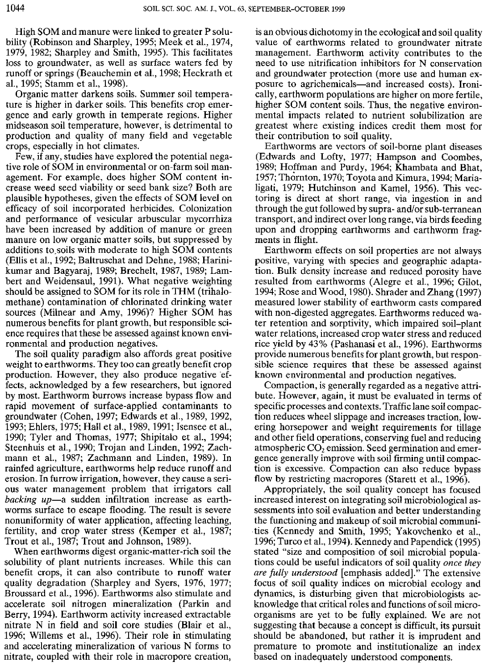High SOM and manure were linked to greater P solubility (Robinson and Sharpley, 1995; Meek et al., 1974, 1979, 1982; Sharpley and Smith, 1995). This facilitates loss to groundwater, as well as surface waters fed by runoff or springs (Beauchemin et al., 1998; Heckrath et al., 1995; Stamm et al., 1998).

Organic matter darkens soils. Summer soil temperature is higher in darker soils. This benefits crop emergence and early growth in temperate regions. Higher midseason soil temperature, however, is detrimental to production and quality of many field and vegetable crops, especially in hot climates.

Few, if any, studies have explored the potential negative role of SOM in environmental or on-farm soil management. For example, does higher SOM content increase weed seed viability or seed bank size? Both are plausible hypotheses, given the effects of SOM level on efficacy of soil incorporated herbicides. Colonization and performance of vesicular arbuscular mycorrhiza have been increased by addition of manure or green manure on low organic matter soils, but suppressed by additions to,soils with moderate to high SOM contents (Ellis et al., 1992; Baltruschat and Dehne, 1988; Harinikumar and Bagyaraj, 1989; Brechelt, 1987, 1989; Lambert and Weidensaul, 1991). What negative weighting should be assigned to SOM for its role in THM (trihalomethane) contamination of chlorinated drinking water sources (Milnear and Amy, 1996)? Higher SOM has numerous benefits for plant growth, but responsible science requires that these be assessed against known environmental and production negatives.

The soil quality paradigm also affords great positive weight to earthworms. They too can greatly benefit crop production. However, they also produce negative effects, acknowledged by a few researchers, but ignored by most. Earthworm burrows increase bypass flow and rapid movement of surface-applied contaminants to groundwater (Cohen, 1997; Edwards et al., 1989, 1992, 1993; Ehlers, 1975; Hall et al., 1989, 1991; Isensee et al., 1990; Tyler and Thomas, 1977; Shipitalo et al., 1994; Steenhuis et al., 1990; Trojan and Linden, 1992; Zachmann et al., 1987; Zachmann and Linden, 1989). In rainfed agriculture, earthworms help reduce runoff and erosion. In furrow irrigation, however, they cause a serious water management problem that irrigators call *backing up—a* sudden infiltration increase as earthworms surface to escape flooding. The result is severe nonuniformity of water application, affecting leaching, fertility, and crop water stress (Kemper et al., 1987; Trout et al., 1987; Trout and Johnson, 1989).

When earthworms digest organic-matter-rich soil the solubility of plant nutrients increases. While this can benefit crops, it can also contribute to runoff water quality degradation (Sharpley and Syers, 1976, 1977; Broussard et al., 1996). Earthworms also stimulate and accelerate soil nitrogen mineralization (Parkin and Berry, 1994). Earthworm activity increased extractable nitrate N in field and soil core studies (Blair et al., 1996; Willems et al., 1996). Their role in stimulating and accelerating mineralization of various N forms to nitrate, coupled with their role in macropore creation,

is an obvious dichotomy in the ecological and soil quality value of earthworms related to groundwater nitrate management. Earthworm activity contributes to the need to use nitrification inhibitors for N conservation and groundwater protection (more use and human exposure to agrichemicals—and increased costs). Ironically, earthworm populations are higher on more fertile, higher SOM content soils. Thus, the negative environmental impacts related to nutrient solubilization are greatest where existing indices credit them most for their contribution to soil quality.

Earthworms are vectors of soil-borne plant diseases (Edwards and Lofty, 1977; Hampson and Coombes, 1989; Hoffman and Purdy, 1964; Khambata and Bhat, 1957; Thornton, 1970; Toyota and Kimura, 1994; Marialigati, 1979; Hutchinson and Kamel, 1956). This vectoring is direct at short range, via ingestion in and through the gut followed by supra- and/or sub-terranean transport, and indirect over long range, via birds feeding upon and dropping earthworms and earthworm fragments in flight.

Earthworm effects on soil properties are not always positive, varying with species and geographic adaptation. Bulk density increase and reduced porosity have resulted from earthworms (Alegre et al., 1996; Gilot, 1994; Rose and Wood, 1980). Shrader and Zhang (1997) measured lower stability of earthworm casts compared with non-digested aggregates. Earthworms reduced water retention and sorptivity, which impaired soil-plant water relations, increased crop water stress and reduced rice yield by 43% (Pashanasi et al., 1996). Earthworms provide numerous benefits for plant growth, but responsible science requires that these be assessed against known environmental and production negatives.

Compaction, is generally regarded as a negative attribute. However, again, it must be evaluated in terms of specific processes and contexts. Traffic lane soil compaction reduces wheel slippage and increases traction, lowering horsepower and weight requirements for tillage and other field operations, conserving fuel and reducing atmospheric  $CO<sub>2</sub>$  emission. Seed germination and emergence generally improve with soil firming until compaction is excessive. Compaction can also reduce bypass flow by restricting macropores (Starett et al., 1996).

Appropriately, the soil quality concept has focused increased interest on integrating soil microbiological assessments into soil evaluation and better understanding the functioning and makeup of soil microbial conununities (Kennedy and Smith, 1995; Yakovchenko et al., 1996; Turco et al., 1994). Kennedy and Papendick (1995) stated "size and composition of soil microbial populations could be useful indicators of soil quality *once they are fully understood* [emphasis added]." The extensive focus of soil quality indices on microbial ecology and dynamics, is disturbing given that microbiologists acknowledge that critical roles and functions of soil microorganisms are yet to be fully explained. We are not suggesting that because a concept is difficult, its pursuit should be abandoned, but rather it is imprudent and premature to promote and institutionalize an index based on inadequately understood components.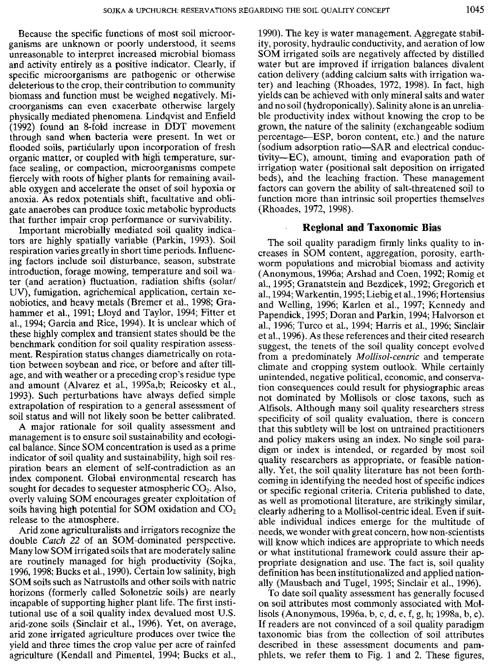Because the specific functions of most soil microorganisms are unknown or poorly understood, it seems unreasonable to interpret increased microbial biomass and activity entirely as a positive indicator. Clearly, if specific microorganisms are pathogenic or otherwise deleterious to the crop, their contribution to community biomass and function must be weighed negatively. Microorganisms can even exacerbate otherwise largely physically mediated phenomena. Lindqvist and Enfield (1992) found an 8-fold increase in DDT movement through sand when bacteria were present. In wet or flooded soils, particularly upon incorporation of fresh organic matter, or coupled with high temperature, surface sealing, or compaction, microorganisms compete fiercely with roots of higher plants for remaining available oxygen and accelerate the onset of soil hypoxia or anoxia. As redox potentials shift, facultative and obligate anaerobes can produce toxic metabolic byproducts that further impair crop performance or survivability.

Important microbially mediated soil quality indicators are highly spatially variable (Parkin, 1993). Soil respiration varies greatly in short time periods. Influencing factors include soil disturbance, season, substrate introduction, forage mowing, temperature and soil water (and aeration) fluctuation, radiation shifts (solar/ UV), fumigation, agrichemical application, certain xenobiotics, and heavy metals (Bremer et al., 1998; Grahammer et **al.,** 1991; Lloyd and Taylor, 1994; Fitter et al., 1994; Garcia and Rice, 1994). It is unclear which of these highly complex and transient states should be the benchmark condition for soil quality respiration assessment. Respiration status changes diametrically on rotation between soybean and rice, or before and after tillage, and with weather or a preceding crop's residue type and amount (Alvarez et al., 1995a,b; Reicosky et al., 1993). Such perturbations have always defied simple extrapolation of respiration to a general assessment of soil status and will not likely soon be better calibrated.

A major rationale for soil quality assessment and management is to ensure soil sustainability and ecological balance. Since SOM concentration is used as a prime indicator of soil quality and sustainability, high soil respiration bears an element of self-contradiction as an index component. Global environmental research has sought for decades to sequester atmospheric  $CO<sub>2</sub>$ . Also, overly valuing SUM encourages greater exploitation of soils having high potential for SOM oxidation and  $CO<sub>2</sub>$ release to the atmosphere.

Arid zone agriculturalists and irrigators recognize the double *Catch 22* of an SUM-dominated perspective. Many low SOM irrigated soils that are moderately saline are routinely managed for high productivity (Sojka, 1996, 1998; Bucks et al., 1990). Certain low salinity, high SOM soils such as Natrustolls and other soils with natric horizons (formerly called Solonetzic soils) are nearly incapable of supporting higher plant life. The first institutional use of a soil quality index devalued most U.S. arid-zone soils (Sinclair et al., 1996). Yet, on average, arid zone irrigated agriculture produces over twice the yield and three times the crop value per acre of rainfed agriculture (Kendall and Pimentel, 1994; Bucks et al.,

1990). The key is water management. Aggregate stability, porosity, hydraulic conductivity, and aeration of low SOM irrigated soils are negatively affected by distilled water but are improved if irrigation balances divalent cation delivery (adding calcium salts with irrigation water) and leaching (Rhoades, 1972, 1998). In fact, high yields can be achieved with only mineral salts and water and no soil (hydroponically). Salinity alone is an unreliable productivity index without knowing the crop to be grown, the nature of the salinity (exchangeable sodium percentage—ESP, boron content, etc.) and the nature (sodium adsorption ratio—SAR and electrical conductivity—EC), amount, timing and evaporation path of irrigation water (positional salt deposition on irrigated beds), and the leaching fraction. These management factors can govern the ability of salt-threatened soil to function more than intrinsic soil properties themselves (Rhoades, 1972, 1998).

#### **Regional and Taxonomic Bias**

The soil quality paradigm firmly links quality to increases in SOM content, aggregation, porosity, earthworm populations and microbial biomass and activity (Anonymous, 1996a; Arshad and Coen, 1992; Romig et al., 1995; Granatstein and Bezdicek, 1992; Gregorich et al., 1994; Warkentin, 1995; Liebig et al., 1996; Hortensius and Welling, 1996; Karlen et al., 1997; Kennedy and Papendick, 1995; Doran and Parkin, 1994; Halvorson et al., 1996; Turco et al., 1994; Harris et al., 1996; Sinclair et a1.,1996). As these references and their cited research suggest, the tenets of the soil quality concept evolved from a predominately *Mollisol-centric* and temperate climate and cropping system outlook. While certainly unintended, negative political, economic, and conservation consequences could result for physiographic areas not dominated by Mollisols or close taxons, such as Alfisols. Although many soil quality researchers stress specificity of soil quality evaluation, there is concern that this subtlety will be lost on untrained practitioners and policy makers using an index. No single soil paradigm or index is intended, or regarded by most soil quality researchers as appropriate, or feasible nationally. Yet, the soil quality literature has not been forthcoming in identifying the needed host of specific indices or specific regional criteria. Criteria published to date, as well as promotional literature, are strikingly similar, clearly adhering to a Mollisol-centric ideal. Even if suitable individual indices emerge for the multitude of needs, we wonder with great concern, how non-scientists will know which indices are appropriate to which needs or what institutional framework could assure their appropriate designation and use. The fact is, soil quality definition has been institutionalized and applied nationally (Mausbach and Tugel, 1995; Sinclair et al., 1996).

To date soil quality assessment has generally focused on soil attributes most commonly associated with Mollisols (Anonymous, 1996a, b, c, d, e, f, g, h; 1998a, b, c). If readers are not convinced of a soil quality paradigm taxonomic bias from the collection of soil attributes described in these assessment documents and pamphlets, we refer them to Fig. 1 and 2. These figures,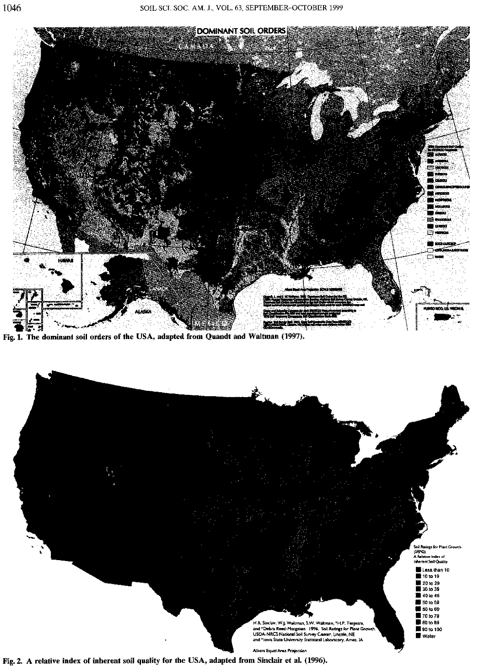

Fig. 1. The dominant soil orders of the USA, adapted from Quandt and Waltman (1997).



Fig. 2. A relative index of inherent soil quality for the USA, adapted from Sinclair et al. (1996).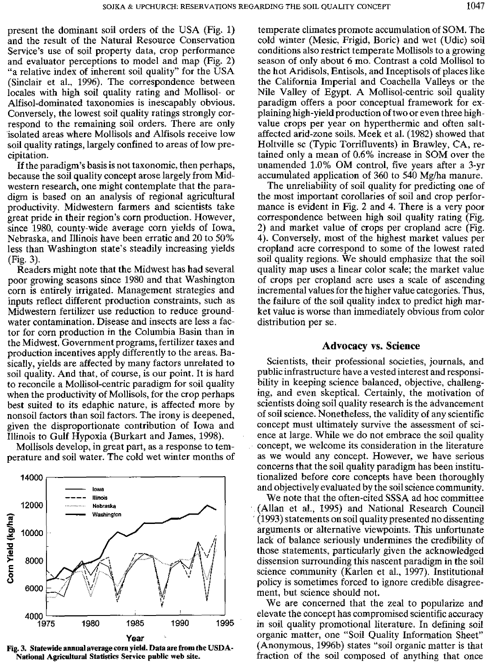present the dominant soil orders of the USA (Fig. 1) and the result of the Natural Resource Conservation Service's use of soil property data, crop performance and evaluator perceptions to model and map (Fig. 2) "a relative index of inherent soil quality" for the USA (Sinclair et al., 1996). The correspondence between locales with high soil quality rating and Mollisol- or Alfisol-dominated taxonomies is inescapably obvious. Conversely, the lowest soil quality ratings strongly correspond to the remaining soil orders. There are only isolated areas where Mollisols and Alfisols receive low soil quality ratings, largely confined to areas of low precipitation.

If the paradigm's basis is not taxonomic, then perhaps, because the soil quality concept arose largely from Midwestern research, one might contemplate that the paradigm is based on an analysis of regional agricultural productivity. Midwestern farmers and scientists take great pride in their region's corn production. However, since 1980, county-wide average corn yields of Iowa, Nebraska, and Illinois have been erratic and 20 to 50% less than Washington state's steadily increasing yields (Fig. 3).

Readers might note that the Midwest has had several poor growing seasons since 1980 and that Washington corn is entirely irrigated. Management strategies and inputs reflect different production constraints, such as Midwestern fertilizer use reduction to reduce groundwater contamination. Disease and insects are less a factor for corn production in the Columbia Basin than in the Midwest. Government programs, fertilizer taxes and production incentives apply differently to the areas. Basically, yields are affected by many factors unrelated to soil quality. And that, of course, is our point. It is hard to reconcile a Mollisol-centric paradigm for soil quality when the productivity of Mollisols, for the crop perhaps best suited to its edaphic nature, is affected more by nonsoil factors than soil factors. The irony is deepened, given the disproportionate contribution of Iowa and Illinois to Gulf Hypoxia (Burkart and James, 1998).

Mollisols develop, in great part, as a response to temperature and soil water. The cold wet winter months of



**Fig. 3. Statewide annual average corn yield. Data are from the USDA-National Agricultural Statistics Service public web site.**

temperate climates promote accumulation of SOM. The cold winter (Mesic, Frigid, Boric) and wet (Udic) soil conditions also restrict temperate Mollisols to a growing season of only about 6 mo. Contrast a cold Mollisol to the hot Aridisols, Entisols, and Inceptisols of places like the California Imperial and Coachella Valleys or the Nile Valley of Egypt. A Mollisol-centric soil quality paradigm offers a poor conceptual framework for explaining high-yield production of two or even three highvalue crops per year on hyperthermic and often saltaffected arid-zone soils. Meek et al. (1982) showed that HoItville se (Typic Torrifluvents) in Brawley, CA, retained only a mean of 0.6% increase in SOM over the unamended 1.0% OM control, five years after a 3-yr accumulated application of 360 to 540 Mg/ha manure.

The unreliability of soil quality for predicting one of the most important corollaries of soil and crop performance is evident in Fig. 2 and 4. There is a very poor correspondence between high soil quality rating (Fig. 2) and market value of crops per cropland acre (Fig. 4). Conversely, most of the highest market values per cropland acre correspond to some of the lowest rated soil quality regions. We should emphasize that the soil quality map uses a linear color scale; the market value of crops per cropland acre uses a scale of ascending incremental values for the higher value categories. Thus, the failure of the soil quality index to predict high market value is worse than immediately obvious from color distribution per se.

### **Advocacy vs. Science**

Scientists, their professional societies, journals, and public infrastructure have a vested interest and responsibility in keeping science balanced, objective, challenging, and even skeptical. Certainly, the motivation of scientists doing soil quality research is the advancement of soil science. Nonetheless, the validity of any scientific concept must ultimately survive the assessment of science at large. While we do not embrace the soil quality concept, we welcome its consideration in the literature as we would any concept. However, we have serious concerns that the soil quality paradigm has been institutionalized before core concepts have been thoroughly and objectively evaluated by the soil science community.

We note that the often-cited SSSA ad hoc committee (Allan et **al.,** 1995) and National Research Council (1993) statements on soil quality presented no dissenting arguments or alternative viewpoints. This unfortunate lack of balance seriously undermines the credibility of those statements, particularly given the acknowledged dissension surrounding this nascent paradigm in the soil science community (Karlen et al., 1997). Institutional policy is sometimes forced to ignore credible disagreement, but science should not.

We are concerned that the zeal to popularize and elevate the concept has compromised scientific accuracy in soil quality promotional literature. In defining soil organic matter, one "Soil Quality Information Sheet" (Anonymous, 1996b) states "soil organic matter is that fraction of the soil composed of anything that once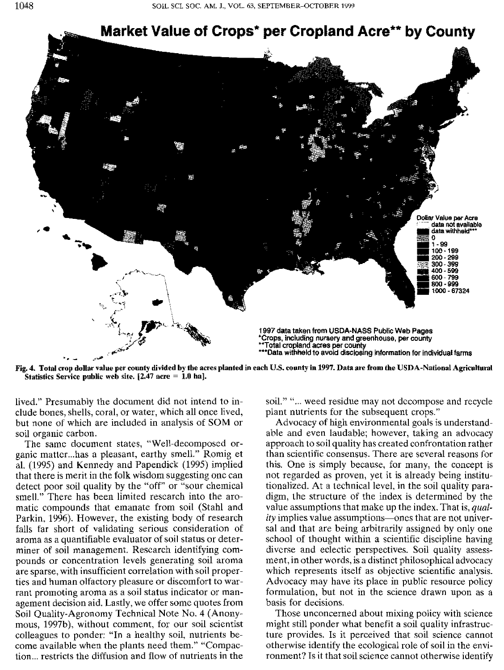# **Market Value of Crops\* per Cropland Acre\*\* by County**



Fig. **4. Total crop dollar value per county divided by the acres planted in each** U.S. county in 1997. **Data are from the USDA-National Agricultural Statistics Service public web site.**  $[2.47 \text{ acre} = 1.0 \text{ ha}]$ **.** 

lived." Presumably the document did not intend to include bones. shells, coral, or water, which all once lived, but none of which are included in analysis of SUM or soil organic carbon.

The same document states, "Well-decomposed organic matter...has a pleasant, earthy smell." Romig et al. (1995) and Kennedy and Papendick (1995) implied that there is merit in the folk wisdom suggesting one can detect poor soil quality by the "off" or "sour chemical smell." There has been limited research into the aromatic compounds that emanate from soil (Stahl and Parkin, 1996). However, the existing body of research falls tar short of validating serious consideration of aroma as a quantifiable evaluator of soil status or determiner of soil management. Research identifying compounds or concentration levels generating soil aroma are sparse, with insufficient correlation with soil properties and human olfactory pleasure or discomfort to warrant promoting aroma as a soil status indicator or management decision aid. Lastly, we offer some quotes from Soil Quality-Agronomy Technical Note No. 4 (Anonymous, 1997b), without comment, for our soil scientist colleagues to ponder: "In a healthy soil, nutrients become available when the plants need them." "Compaction... restricts the diffusion and flow of nutrients in the

soil." "... weed residue may not decompose and recycle plant nutrients for the subsequent crops."

Advocacy of high environmental goals is understandable and even laudable; however, taking an advocacy approach to soil quality has created confrontation rather than scientific consensus. There are several reasons for this. One is simply because, for many, the concept is not regarded as proven, yet it is already being institutionalized. At a technical level, in the soil quality paradigm, the structure of the index is determined by the value assumptions that make up the index. That is, *quality* implies value assumptions—ones that are not universal and that are being arbitrarily assigned by only one school of thought within a scientific discipline having diverse and eclectic perspectives. Soil quality assessment, in other words, is a distinct philosophical advocacy which represents itself as objective scientific analysis. Advocacy may have its place in public resource policy formulation, but not in the science drawn upon as a basis for decisions.

Those unconcerned about mixing policy with science might still ponder what benefit a soil quality infrastructure provides. Is it perceived that soil science cannot otherwise identify the ecological role of soil in the environment? Is it that soil science cannot otherwise identify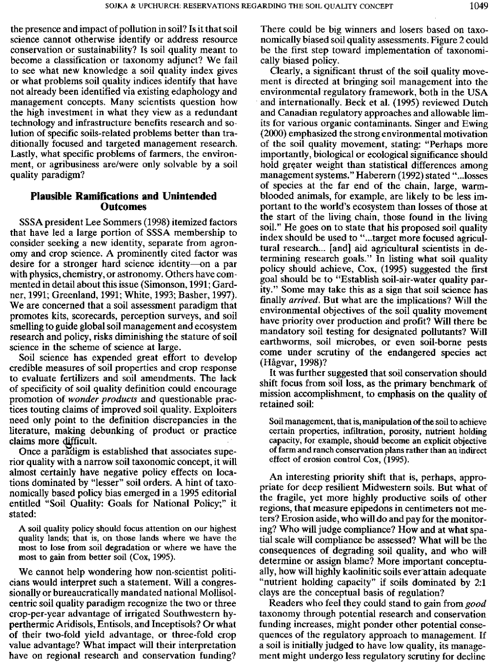the presence and impact of pollution in soil? Is it that soil science cannot otherwise identify or address resource conservation or sustainability? Is soil quality meant to become a classification or taxonomy adjunct? We fail to see what new knowledge a soil quality index gives or what problems soil quality indices identify that have not already been identified via existing edaphology and management concepts. Many scientists question how the high investment in what they view as a redundant technology and infrastructure benefits research and solution of specific soils-related problems better than traditionally focused and targeted management research. Lastly, what specific problems of farmers, the environment, or agribusiness are/were only solvable by a soil quality paradigm?

### **Plausible Ramifications and Unintended Outcomes**

SSSA president Lee Sommers (1998) itemized factors that have led a large portion of SSSA membership to consider seeking a new identity, separate from agronomy and crop science. A prominently cited factor was desire for a stronger hard science identity—on a par with physics, chemistry, or astronomy. Others have commented in detail about this issue (Simonson, 1991; Gardner, 1991; Greenland, 1991; White, 1993; Basher, 1997). We are concerned that a soil assessment paradigm that promotes kits, scorecards, perception surveys, and soil smelling to guide global soil management and ecosystem research and policy, risks diminishing the stature of soil science in the scheme of science at large.

Soil science has expended great effort to develop credible measures of soil properties and crop response to evaluate fertilizers and soil amendments. The lack of specificity of soil quality definition could encourage promotion of *wonder products and* questionable practices touting claims of improved soil quality. Exploiters need only point to the definition discrepancies in the literature, making debunking of product or practice claims more difficult.

Once a paradigm is established that associates superior quality with a narrow soil taxonomic concept, it will almost certainly have negative policy effects on locations dominated by "lesser" soil orders. A hint of taxonomically based policy bias emerged in a 1995 editorial entitled "Soil Quality: Goals for National Policy;" it stated:

A soil quality policy should focus attention on our highest quality lands; that is, on those lands where we have the most to lose from soil degradation or where we have the most to gain from better soil (Cox, 1995).

We cannot help wondering how non-scientist politicians would interpret such a statement. Will a congressionally or bureaucratically mandated national Mollisolcentric soil quality paradigm recognize the two or three crop-per-year advantage of irrigated Southwestern hyperthermic Aridisols, Entisols, and Inceptisols? Or what of their two-fold yield advantage, or three-fold crop value advantage? What impact will their interpretation have on regional research and conservation funding? There could be big winners and losers based on taxonomically biased soil quality assessments. Figure 2 could be the first step toward implementation of taxonomically biased policy.

Clearly, a significant thrust of the soil quality movement is directed at bringing soil management into the environmental regulatory framework, both in the USA and internationally. Beck et al. (1995) reviewed Dutch and Canadian regulatory approaches and allowable limits for various organic contaminants. Singer and Ewing (2000) emphasized the strong environmental motivation of the soil quality movement, stating: "Perhaps more importantly, biological or ecological significance should hold greater weight than statistical differences among management systems." Haberern (1992) stated "...losses of species at the far end of the chain, large, warmblooded animals, for example, are likely to be less important to the world's ecosystem than losses of those at the start of the living chain, those found in the living soil." He goes on to state that his proposed soil quality index should be used to "...target more focused agricultural research... [and] aid agricultural scientists in determining research goals." In listing what soil quality policy should achieve, Cox, (1995) suggested the first goal should be to "Establish soil-air-water quality parity." Some may take this as a sign that soil science has finally *arrived.* But what are the implications? Will the environmental objectives of the soil quality movement have priority over production and profit? Will there be mandatory soil testing for designated pollutants? Will earthworms, soil microbes, or even soil-borne pests come under scrutiny of the endangered species act (Hagvar, 1998)?

It was further suggested that soil conservation should shift focus from soil loss, as the primary benchmark of mission accomplishment, to emphasis on the quality of retained soil:

Soil management, that is, manipulation of the soil to achieve certain properties, infiltration, porosity, nutrient holding capacity, for example, should become an explicit objective of farm and ranch conservation plans rather than an indirect effect of erosion control Cox, (1995).

An interesting priority shift that is, perhaps, appropriate for deep resilient Midwestern soils. But what of the fragile, yet more highly productive soils of other regions, that measure epipedons in centimeters not meters? Erosion aside, who will do and pay for the monitoring? Who will judge compliance? How and at what spatial scale will compliance be assessed? What will be the consequences of degrading soil quality, and who will determine or assign blame? More important conceptually, how will highly kaolinitic soils ever-attain adequate "nutrient holding capacity" if soils dominated by 2:1 clays are the conceptual basis of regulation?

Readers who feel they could stand to gain from *good* taxonomy through potential research and conservation funding increases, might ponder other potential consequences of the regulatory approach to management. If a soil is initially judged to have low quality, its management might undergo less regulatory scrutiny for decline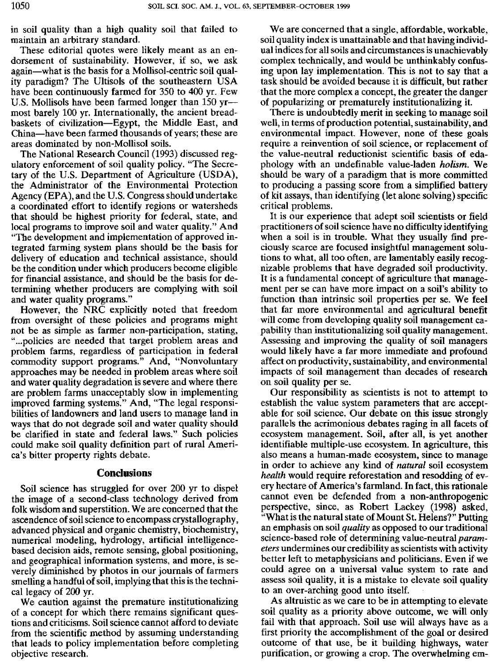in soil quality than a high quality soil that failed to maintain an arbitrary standard.

These editorial quotes were likely meant as an endorsement of sustainability. However, if so, we ask again—what is the basis for a Mollisol-centric soil quality paradigm? The Ultisols of the southeastern USA have been continuously farmed for 350 to 400 yr. Few U.S. Mollisols have been farmed longer than 150 yrmost barely 100 yr. Internationally, the ancient breadbaskets of civilization—Egypt, the Middle East, and China—have been farmed thousands of years; these are areas dominated by non-Mollisol soils.

The National Research Council (1993) discussed regulatory enforcement of soil quality policy. "The Secretary of the U.S. Department of Agriculture (USDA), the Administrator of the Environmental Protection Agency (EPA), and the U.S. Congress should undertake a coordinated effort to identify regions or watersheds that should be highest priority for federal, state, and local programs to improve soil and water **quality." And "The development and implementation of approved integrated farming system plans should be** the basis for delivery of education and technical assistance, should be the condition under which producers become eligible for financial assistance, and should be the basis for determining whether producers are complying with soil and water quality programs."

However, the NRC explicitly noted that freedom from oversight of these policies and programs might not be as simple as farmer non-participation, stating, "...policies are needed that target problem areas and problem farms, regardless of participation in federal commodity support programs." And, "Nonvoluntary approaches may be needed in problem areas where soil and water quality degradation is severe and where there are problem farms unacceptably slow in implementing improved farming systems." And, "The legal responsibilities of landowners and land users to manage land in ways that do not degrade soil and water quality should be clarified in state and federal laws." Such policies could make soil quality definition part of rural America's bitter property rights debate.

### **Conclusions**

Soil science has struggled for over 200 yr to dispel the image of a second-class technology derived from folk wisdom and superstition. We are concerned that the ascendence of soil science to encompass crystallography, advanced physical and organic chemistry, biochemistry, numerical modeling, hydrology, artificial intelligencebased decision aids, remote sensing, global positioning, and geographical information systems, and more, is severely diminished by photos in our journals of farmers smelling a handful of soil, implying that this is the technical legacy of 200 yr.

We caution against the premature institutionalizing of a concept for which there remains significant questions and criticisms. Soil science cannot afford to deviate from the scientific method by assuming understanding that leads to policy implementation before completing objective research.

We are concerned that a single, affordable, workable, soil quality index is unattainable and that having individual indices for all soils and circumstances is unachievably complex technically, and would be unthinkably confusing upon lay implementation. This is not to say that a task should be avoided because it is difficult, but rather that the more complex a concept, the greater the danger of popularizing or prematurely institutionalizing it.

There is undoubtedly merit in seeking to manage soil well, in terms of production potential, sustainability, and environmental impact. However, none of these goals require a reinvention of soil science, or replacement of the value-neutral reductionist scientific basis of edaphology with an undefinable value-laden *holism.* We should be wary of a paradigm that is more committed to producing a passing score from a simplified battery of kit assays, than identifying (let alone solving) specific critical problems.

It is our experience that adept soil scientists or field practitioners of soil science have no difficulty identifying when a soil is in trouble. What they usually find preciously scarce are focused insightful management solutions to what, all too often, are lamentably easily recognizable problems that have degraded soil productivity. It is a fundamental concept of agriculture that management per se can have more impact on a soil's ability to function than intrinsic soil properties per se. We feel that far more environmental and agricultural benefit will come from developing quality soil management capability than institutionalizing soil quality management. Assessing and improving the quality of soil managers would likely have a far more immediate and profound affect on productivity, sustainability, and environmental impacts of soil management than decades of research on soil quality per se.

Our responsibility as scientists is not to attempt to establish the value system parameters that are acceptable for soil science. Our debate on this issue strongly parallels the acrimonious debates raging in all facets of ecosystem management. Soil, after all, is yet another identifiable multiple-use ecosystem. In agriculture, this also means a human-made ecosystem, since to manage in order to achieve any **kind of** *natural* **soil ecosystem** *health* **would require reforestation and resodding of every hectare of America's farmland. In fact, this rationale** cannot even be defended from a non-anthropogenic perspective, since, as Robert Lackey (1998) asked, "What is the natural state of Mount St. Helens?" Putting an emphasis on soil *quality as* opposed to our traditional science-based role of determining value-neutral *parameters* undermines our credibility as scientists with activity better left to metaphysicians and politicians. Even if we could agree on a universal value system to rate and assess soil quality, it is a mistake to elevate soil quality to an over-arching good unto itself.

As altruistic as we care to be in attempting to elevate soil quality as a priority above outcome, we will only fail with that approach. Soil use will always have as a first priority the accomplishment of the goal or desired outcome of that use, be it building highways, water purification, or growing a crop. The overwhelming em-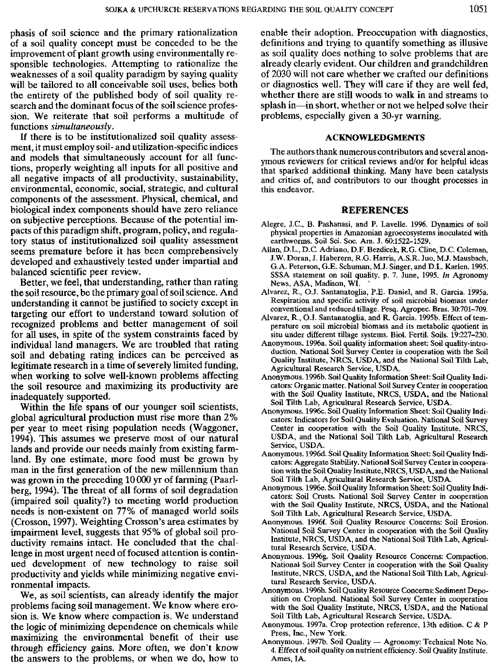phasis of soil science and the primary rationalization of a soil quality concept must be conceded to be the improvement of plant growth using environmentally responsible technologies. Attempting to rationalize the weaknesses of a soil quality paradigm by saying quality will be tailored to all conceivable soil uses, belies both the entirety of the published body of soil quality research and the dominant focus of the soil science profession. We reiterate that soil performs a multitude of functions *simultaneously.*

If there is to be institutionalized soil quality assessment, it must employ soil- and utilization-specific indices and models that simultaneously account for all functions, properly weighting all inputs for all positive and all negative impacts of all productivity, sustainability, environmental, economic, social, strategic, and cultural components of the assessment. Physical, chemical, and biological index components should have zero reliance on subjective perceptions. Because of the potential impacts of this paradigm shift, program, policy, and regulatory status of institutionalized soil quality assessment seems premature before it has been comprehensively developed and exhaustively tested under impartial and balanced scientific peer review.

Better, we feel, that understanding, rather than rating the soil resource, be the primary goal of soil science. And understanding it cannot be justified to society except in targeting our effort to understand toward solution of recognized problems and better management of soil for all uses, in spite of the system constraints faced by individual land managers. We are troubled that rating soil and debating rating indices can be perceived as legitimate research in a time of severely limited funding, when working to solve well-known problems affecting the soil resource and maximizing its productivity are inadequately supported.

Within the life spans of our younger soil scientists, global agricultural production must rise more than 2% per year to meet rising population needs (Waggoner, 1994). This assumes we preserve most of our natural lands and provide our needs mainly from existing farmland. By one estimate, more food must be grown by man in the first generation of the new millennium than was grown in the preceding 10 000 yr of farming (Paarlberg, 1994). The threat of all forms of soil degradation (impaired soil quality?) to meeting world production needs is non-existent on 77% of managed world soils (Crosson, 1997). Weighting Crosson's area estimates by impairment level, suggests that 95% of global soil productivity remains intact. He concluded that the challenge in most urgent need of focused attention is continued development of new technology to raise soil productivity and yields while minimizing negative environmental impacts.

We, as soil scientists, can already identify the major problems facing soil management. We know where erosion is. We know where compaction is. We understand the logic of minimizing dependence on chemicals while maximizing the environmental benefit of their use through efficiency gains. More often, we don't know the answers to the problems, or when we do, how to enable their adoption. Preoccupation with diagnostics, definitions and trying to quantify something as illusive as soil quality does nothing to solve problems that are already clearly evident. Our children and grandchildren of 2030 will not care whether we crafted our definitions or diagnostics well. They will care if they are well fed, whether there are still woods to walk in and streams to splash in—in short, whether or not we helped solve their problems, especially given a 30-yr warning.

### **ACKNOWLEDGMENTS**

The authors thank numerous contributors and several anonymous reviewers for critical reviews and/or for helpful ideas that sparked additional thinking. Many have been catalysts and critics of, and contributors to our thought processes in this endeavor.

### **REFERENCES**

- Alegre, J.C., B. Pashanasi, and P. Lavelle. 1996. Dynamics of soil physical properties in Amazonian agroecosystems inoculated with earthworms. Soil Sci. Soc. Am. J. 60:1522-1529.
- Allan, D.L., D.C. Adriano, D.F. Bezdicek, R.G. Cline, D.C. Coleman, J.W. Doran, J. Haberern, R.G. Harris, A.S.R. Juo, M.J. Mausbach, G.A. Peterson, G.E. Schuman, M.J. Singer, and D.L. Karlen. 1995. SSSA statement on soil quality. p. 7. June, 1995. *In* Agronomy News, ASA, Madison, WI. '
- Alvarez, R., O.J. Santanatoglia, P.E. Daniel, and R. Garcia. 1995a. Respiration and specific activity of soil microbial biomass under conventional and reduced tillage. Pesq. Agropec. Bras. 30:701-709.
- Alvarez, R., 0.J. Santanatoglia, and R. Garcia. 1995b. Effect of temperature on soil microbial biomass and its metabolic quotient in situ under different tillage systems. Biol. Fertil. Soils. 19:227-230.
- Anonymous. 1996a. Soil quality information sheet: Soil quality-introduction. National Soil Survey Center in cooperation with the Soil Quality Institute, NRCS, USDA, and the National Soil Tilth Lab, Agricultural Research Service, USDA.
- Anonymous. 1996b. Soil Quality Information Sheet: Soil Quality Indicators: Organic matter. National Soil Survey Center in cooperation with the Soil Quality Institute, NRCS, USDA, and the National Soil Tilth Lab, Agricultural Research Service, USDA.
- Anonymous. 1996c. Soil Quality Information Sheet: Soil Quality Indicators: Indicators for Soil Quality Evaluation. National Soil Survey Center in cooperation with the Soil Quality Institute, NRCS, USDA, and the National Soil Tilth Lab, Agricultural Research Service, USDA.
- Anonymous. 1996d. Soil Quality Information Sheet: Soil Quality Indicators: Aggregate Stability. National Soil Survey Center in cooperation with the Soil Quality Institute, NRCS, USDA, and the National Soil Tilth Lab, Agricultural Research Service, USDA.
- Anonymous. 1996e. Soil Quality Information Sheet: Soil Quality Indicators: Soil Crusts. National Soil Survey Center in cooperation with the Soil Quality Institute, NRCS, USDA, and the National Soil Tilth Lab, Agricultural Research Service, USDA.
- Anonymous. 1996f. Soil Quality Resource Concerns: Soil Erosion. National Soil Survey Center in cooperation with the Soil Quality Institute, NRCS, USDA, and the National Soil Tilth Lab, Agricultural Research Service, USDA.
- Anonymous. 1996g. Soil Quality Resource Concerns: Compaction. National Soil Survey Center in cooperation with the Soil Quality Institute, NRCS, USDA, and the National Soil Tilth Lab, Agricultural Research Service, USDA.
- Anonymous. 1996h. Soil Quality Resource Concerns: Sediment Deposition on Cropland. National Soil Survey Center in cooperation with the Soil Quality Institute, NRCS, USDA, and the National Soil Tilth Lab, Agricultural Research Service, USDA.
- Anonymous. 1997a. Crop protection reference, 13th edition. C & P Press, Inc., New York.
- Anonymous. 1997b. Soil Quality Agronomy: Technical Note No. 4. Effect of soil quality on nutrient efficiency. Soil Quality Institute. Ames, IA.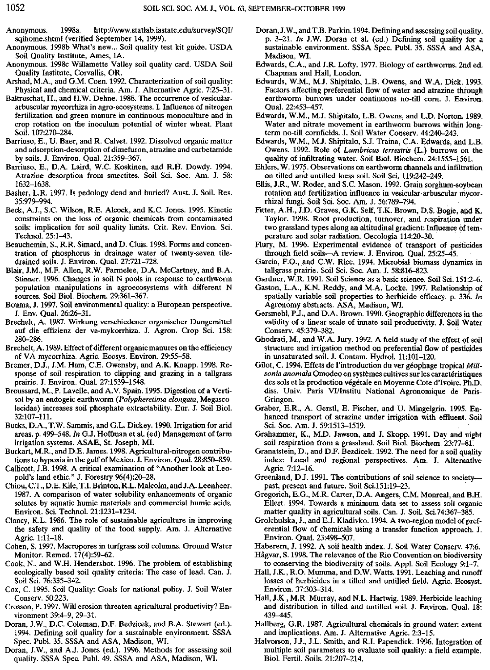Anonymous. 1998a. http://www.statlab.iastate.edu/survey/SQI/ sqihome.shtml (verified September 14, 1999).

Anonymous. 1998b What's new... Soil quality test kit guide. USDA Soil Quality Institute, Ames, IA.

- Anonymous. 1998c Willamette Valley soil quality card. USDA Soil Quality Institute, Corvallis, OR.
- Arshad, M.A., and G.M. Coen. 1992. Characterization of soil quality: Physical and chemical criteria. Am. J. Alternative Agric. 7:25-31.
- Baltruschat, H., and H.W. Dehne. 1988. The occurrence of vesiculararbuscular mycorrhiza in agro-ecosystems. I. Influence of nitrogen fertilization and green manure in continuous monoculture and in crop rotation on the inoculum potential of winter wheat. Plant Soil. 107:270-284.
- Barriuso, E., U. Baer, and R. Calvet. 1992. Dissolved organic matter and adsorption-desorption of dimefuron, atrazine and carbetamide by soils. J. Environ. Qual. 21:359-367.
- Barriuso, E., D.A. Laird, W.C. Koskinen, and **R.H.** Dowdy. 1994. Atrazine desorption from smectites. Soil Sci. Soc. Am. J. 58: 1632-1638.
- Basher, L.R. 1997. Is pedology dead and buried? Aust. J. Soil. Res. 35:979-994.
- Beck, A.J., S.C. Wilson, R.E. Alcock, and K.C. Jones. 1995. Kinetic constraints on the loss of organic chemicals from contaminated soils: implication for soil quality limits. Crit. Rev. Envion. Sci. Technol. 25:1-43.
- Beauchemin, S., R.R. Simard, and D. Cluis. 1998. Forms and concentration of phosphorus in drainage water of twenty-seven tiledrained soils. J. Environ. Qual. 27:721-728.
- Blair, J.M., M.F. Allen, R.W. Parmelee, D.A. McCartney, and B.A. Stinner. 1996. Changes in soil N pools in response to earthworm population manipulations in agroecosystems with different N sources. Soil Biol. Biochem. 29:361-367.
- Bouma, J. 1997. Soil environmental quality: a European perspective. J. Env. Qual. 26:26-31.
- Brechelt, A. 1987. Wirkung verschiedener organischer Dungemittel auf die effizienz der va-mykorrhiza. J. Agron. Crop Sci. 158: 280-286.
- Brechelt, A. 1989. Effect of different organic manures on the efficiency of VA mycorrhiza. Agric. Ecosys. Environ. 29:55-58.
- Bremer, D.J., J.M. Ham, C.E. Owensby, and A.K. Knapp. 1998. Response of soil respiration to clipping and grazing in a tallgrass prairie. J. Environ. Qual. 27:1539-1548.
- Broussard, M., P. Lavelle, and A.V. Spain. 1995. Digestion of a Vertisol by an endogeic earthworm *(Polypherecima elongata,* Megascolecidae) increases soil phosphate extractability. Eur. J. Soil Biol. 32:107-111.
- Bucks, D.A., T.W. Sammis, and G.L. Dickey. 1990. Irrigation for arid areas. p. 499-548. *In* G.J. Hoffman et al. (ed) Management of farm irrigation systems. ASAE, St. Joseph, MI.
- Burkart, M.R., and D.E. James. 1998. Agricultural-nitrogen contributions to hypoxia in the gulf of Mexico. J. Environ. Qual. 28:850-859.
- Callicott, J.B. 1998. A critical examination of "Another look at Leopold's land ethic." J. Forestry 96(4):20-28.
- Chiou, CT" D.E. Kite, T.I. **Brinton, R.L.** Malcolm, and J.A. Leenheer. 1987. A comparison of water solubility enhancements of organic solutes by aquatic humic materials and commercial humic acids. Environ. Sci, Technol. 21:1231-1234.
- Clancy, K.L. 1986. The role of sustainable agriculture in improving the safety and quality of the food supply. Am. J. Alternative Agric. 1:11-18.
- Cohen, S. 1997. Macropores in turfgrass soil columns. Ground Water Monitor. Remed. 17(4):59-62.
- Cook, N., and W.H. Hendershot. 1996. The problem of establishing ecologically based soil quality criteria: The case of lead. Can. J. Soil Sci. 76:335-342.
- Cox, C. 1995. Soil Quality: Goals for national policy. J. Soil Water Conserv. 50:223.
- Crosson, P. 1997. Will erosion threaten agricultural productivity? Environment 39:4-9, 29-31.
- Doran, J.W., D.C. Coleman, D.F. Bedzicek, and B.A. Stewart (ed.). 1994. Defining soil quality for a sustainable environment. SSSA Spec. Publ. 35. SSSA and ASA, Madison, WI.
- Doran, J.W., and A.J. Jones (ed.). 1996. Methods for assessing soil quality. SSSA Spec. Publ. 49. SSSA and ASA, Madison, WI.
- Doran, J.W., and T.B. Parkin. 1994. Defining and assessing soil quality. p. 3-21. *In* J.W. Doran et al. (ed.) Defining soil quality for a sustainable environment. SSSA Spec. Pub!, 35. SSSA and ASA, Madison, WI.
- Edwards, C.A., and J.R. Lofty. 1977. Biology of earthworms. 2nd ed. Chapman and Hall, London.
- Edwards, W.M., M.J. Shipitalo, L.B. Owens, and W.A. Dick. 1993. Factors affecting preferential flow of water and atrazine through earthworm burrows under continuous no-till corn. J. Environ, Qual. 22:453-457.
- Edwards, W.M., M.J. Shipitalo, L.B. Owens, and L.D. Norton. 1989. Water and nitrate movement in earthworm burrows within longterm no-till cornfields. J. Soil Water Conserv. 44:240-243.
- Edwards, W.M., M.J. Shipitalo, S.J. Traina, C.A. Edwards, and L.B. Owens. 1992. Role of *Lumbricus terrestris* (L.) burrows on the quality of infiltrating water. Soil Biol. Biochem. 24:1555-1561.
- Ehlers, W. 1975. Observations on earthworm channels and infiltration on tilled and untilled loess soil. Soil Sci. 119:242-249.
- Ellis, JR., W. Roder, and S.C. Mason. 1992. Grain sorghum-soybean rotation and fertilization influence in vesicular-arbuscular mycorrhizal fungi. Soil Sci. Soc. Am. J. 56:789-794.
- Fitter, A.H., J.D. Graves, G.K. Self, T.K. Brown, D.S. Bogie, and K. Taylor. 1998. Root production, turnover, and respiration under two grassland types along an altitudinal gradient: Influence of temperature and solar radiation. Oecologia 114:20-30.
- Flury, M. 1996. Experimental evidence of transport of pesticides through field soils-A review. *J.* Environ. Qual. 25:25-45.
- Garcia, F.O., and C.W. Rice. 1994. Microbial biomass dynamics in tallgrass prairie. Soil Sci, Soc. Am. J. 58:816-823.
- Gardner, W.R. 1991. Soil Science as a basic science. Soil Sci. 151:2-6.
- Gaston, L.A., K.N. Reddy, and M.A. Locke. 1997. Relationship of spatially variable soil properties to herbicide efficacy. p. 336. *In* Agronomy abstracts. ASA, Madison, WI,
- Gersmehl, P.J., and D.A. Brown. 1990. Geographic differences in the validity of a linear scale of innate soil productivity. *J.* Soil Water Conserv. 45:379-382.
- Ghadrati, M., and W.A. Jury. 1992. A field study of the effect of soil structure and irrigation method on preferential flow of pesticides in unsaturated soil. J. Contam. Hydrol. 11:101-120.
- Gilot, C. 1994. Effets de l'introduction du ver géophage tropical Millsonia anomala Omodeo en systèmes cultives sur les caractéristiques des sols et la production végétale en Moyenne Cote d'Ivoire, Ph.D. diss. Univ. Paris VI/Institu National Agronomique de Paris-Gringon.
- Graber, ER., A. Gerstl, E. Fischer, and U. Mingelgrin. 1995. **En**hanced transport of atrazine under irrigation with effluent. Soil Sci. Soc. Am. J. 59:1513-1519.
- Grahammer, K., M.D. Jawson, and *J.* Skopp, 1991. Day and night soil respiration from a grassland. Soil Biol. Biochem. 23:77-81.
- Granatstein, D., and D.F. Bezdicek. 1992. The need for a soil quality index: Local and regional perspectives. Am. J. Alternative Agric. 7:12-16.
- Greenland, D.J. 1991. The contributions of soil science to societypast, present and future. Soil Sci.151:19-23.
- Gregorich, E.G., M.R. Carter, D.A. Angers, C.M. Monreal, and B.H. Ellen. 1994. Towards a minimum data set to assess soil organic matter quality in agricultural soils. Can. J. Soil. Sci.74:367-385.
- Grolchulska, J., and E.J. Kladivko. 1994. A two-region model of preferential flow of chemicals using a transfer function approach. J. Environ. Qual, 23:498-507.
- Haberern, *J.* 1992. A soil health index. J. Soil Water Conserv. 47:6.
- Hågvar, S. 1998. The relevance of the Rio Convention on biodiversity to conserving the biodiversity of soils. Appl. Soil Ecology 9:1-7.
- Hall, J.K., R.O. Mumma, and D.W. Watts. 1991. Leaching and runoff losses of herbicides in a tilled and untilled field. Agric. Ecosyst. Environ. 37:303-314.
- Hall, J.K., M.R. Murray, and N.L. Hartwig. 1989. Herbicide leaching and distribution in tilled and untilled soil. *J.* Environ. Qual. 18: 439-445.
- Hallberg, G.R. 1987. Agricultural chemicals in ground water: extent and implications. Am. J. Alternative Agric. 2:3-15,
- Halvorson, J.J., J.L. Smith, and R.I. Papendick. 1996. Integration of multiple soil parameters to evaluate soil quality: a field example. Biol. Fertil. Soils. 21:207-214.